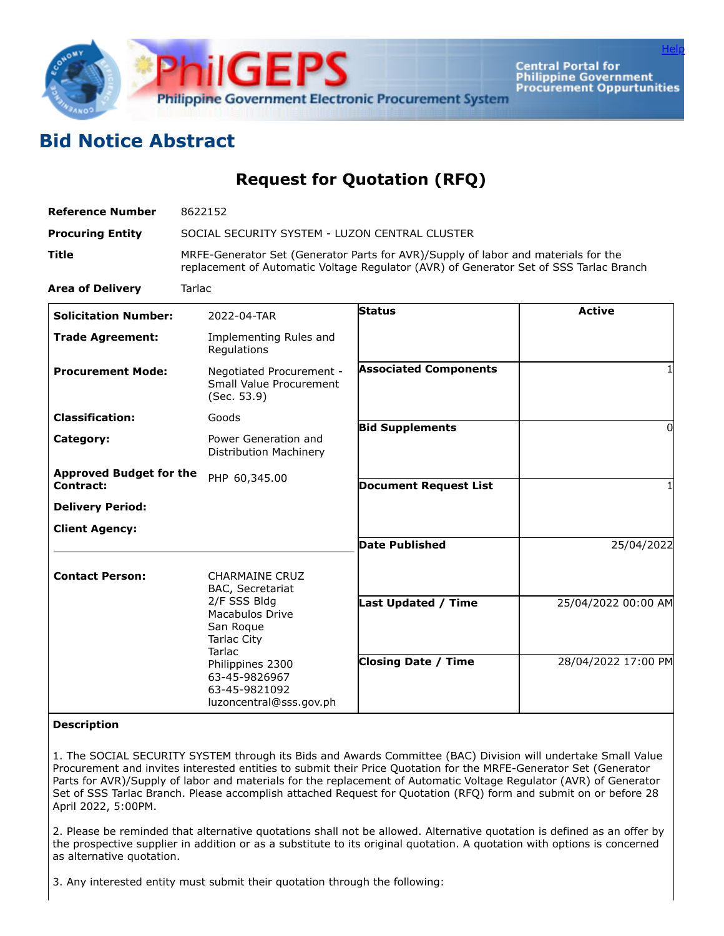

**Central Portal for Philippine Government Procurement Oppurtunities** 

**[Help](javascript:void(window.open()** 

## **Bid Notice Abstract**

**Request for Quotation (RFQ)**

| <b>Reference Number</b>                     | 8622152<br>SOCIAL SECURITY SYSTEM - LUZON CENTRAL CLUSTER<br>MRFE-Generator Set (Generator Parts for AVR)/Supply of labor and materials for the<br>replacement of Automatic Voltage Regulator (AVR) of Generator Set of SSS Tarlac Branch |                              |                     |
|---------------------------------------------|-------------------------------------------------------------------------------------------------------------------------------------------------------------------------------------------------------------------------------------------|------------------------------|---------------------|
| <b>Procuring Entity</b>                     |                                                                                                                                                                                                                                           |                              |                     |
| <b>Title</b>                                |                                                                                                                                                                                                                                           |                              |                     |
| <b>Area of Delivery</b>                     | <b>Tarlac</b>                                                                                                                                                                                                                             |                              |                     |
| <b>Solicitation Number:</b>                 | 2022-04-TAR                                                                                                                                                                                                                               | <b>Status</b>                | <b>Active</b>       |
| <b>Trade Agreement:</b>                     | Implementing Rules and<br>Regulations                                                                                                                                                                                                     |                              |                     |
| <b>Procurement Mode:</b>                    | Negotiated Procurement -<br>Small Value Procurement<br>(Sec. 53.9)                                                                                                                                                                        | <b>Associated Components</b> |                     |
| <b>Classification:</b>                      | Goods                                                                                                                                                                                                                                     | <b>Bid Supplements</b>       | $\Omega$            |
| Category:                                   | Power Generation and<br>Distribution Machinery                                                                                                                                                                                            |                              |                     |
| <b>Approved Budget for the</b><br>Contract: | PHP 60,345.00                                                                                                                                                                                                                             | <b>Document Request List</b> | 1                   |
| <b>Delivery Period:</b>                     |                                                                                                                                                                                                                                           |                              |                     |
| <b>Client Agency:</b>                       |                                                                                                                                                                                                                                           |                              |                     |
|                                             |                                                                                                                                                                                                                                           | <b>Date Published</b>        | 25/04/2022          |
| <b>Contact Person:</b>                      | <b>CHARMAINE CRUZ</b><br>BAC, Secretariat                                                                                                                                                                                                 |                              |                     |
|                                             | 2/F SSS Bldg<br>Macabulos Drive<br>San Roque<br><b>Tarlac City</b><br><b>Tarlac</b><br>Philippines 2300<br>63-45-9826967<br>63-45-9821092<br>luzoncentral@sss.gov.ph                                                                      | <b>Last Updated / Time</b>   | 25/04/2022 00:00 AM |
|                                             |                                                                                                                                                                                                                                           | <b>Closing Date / Time</b>   | 28/04/2022 17:00 PM |

## **Description**

1. The SOCIAL SECURITY SYSTEM through its Bids and Awards Committee (BAC) Division will undertake Small Value Procurement and invites interested entities to submit their Price Quotation for the MRFE-Generator Set (Generator Parts for AVR)/Supply of labor and materials for the replacement of Automatic Voltage Regulator (AVR) of Generator Set of SSS Tarlac Branch. Please accomplish attached Request for Quotation (RFQ) form and submit on or before 28 April 2022, 5:00PM.

2. Please be reminded that alternative quotations shall not be allowed. Alternative quotation is defined as an offer by the prospective supplier in addition or as a substitute to its original quotation. A quotation with options is concerned as alternative quotation.

3. Any interested entity must submit their quotation through the following: